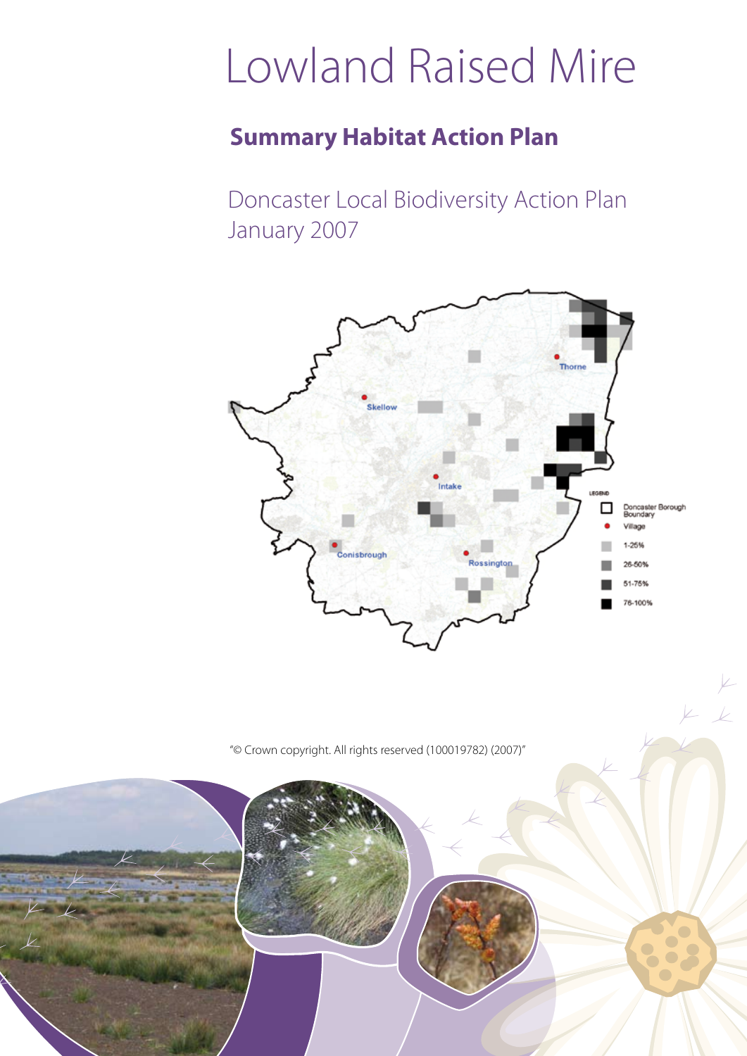# Lowland Raised Mire

### **Summary Habitat Action Plan**

Doncaster Local Biodiversity Action Plan January 2007



 $\mathbb{Z}$ 

"© Crown copyright. All rights reserved (100019782) (2007)"

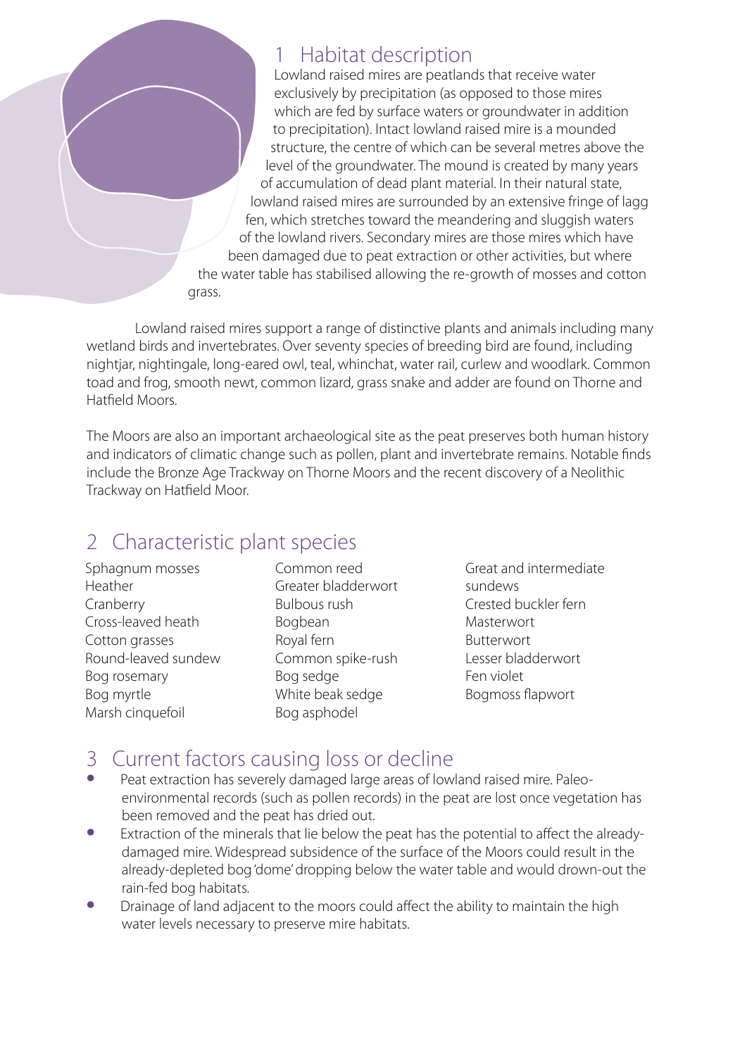#### 1 Habitat description

Lowland raised mires are peatlands that receive water exclusively by precipitation (as opposed to those mires which are fed by surface waters or groundwater in addition to precipitation). Intact lowland raised mire is a mounded structure, the centre of which can be several metres above the level of the groundwater. The mound is created by many years of accumulation of dead plant material. In their natural state, lowland raised mires are surrounded by an extensive fringe of lagg fen, which stretches toward the meandering and sluggish waters of the lowland rivers. Secondary mires are those mires which have been damaged due to peat extraction or other activities, but where the water table has stabilised allowing the re-growth of mosses and cotton

Lowland raised mires support a range of distinctive plants and animals including many wetland birds and invertebrates. Over seventy species of breeding bird are found, including nightjar, nightingale, long-eared owl, teal, whinchat, water rail, curlew and woodlark. Common toad and frog, smooth newt, common lizard, grass snake and adder are found on Thorne and Hatfield Moors.

The Moors are also an important archaeological site as the peat preserves both human history and indicators of climatic change such as pollen, plant and invertebrate remains. Notable finds include the Bronze Age Trackway on Thorne Moors and the recent discovery of a Neolithic Trackway on Hatfield Moor.

### 2 Characteristic plant species

grass.

Sphagnum mosses Heather Cranberry Cross-leaved heath Cotton grasses Round-leaved sundew Bog rosemary Bog myrtle Marsh cinquefoil

Common reed Greater bladderwort Bulbous rush Bogbean Royal fern Common spike-rush Bog sedge White beak sedge Bog asphodel

Great and intermediate sundews Crested buckler fern Masterwort Butterwort Lesser bladderwort Fen violet Bogmoss flapwort

## 3 Current factors causing loss or decline

- Peat extraction has severely damaged large areas of lowland raised mire. Paleoenvironmental records (such as pollen records) in the peat are lost once vegetation has been removed and the peat has dried out.
- Extraction of the minerals that lie below the peat has the potential to affect the alreadydamaged mire. Widespread subsidence of the surface of the Moors could result in the already-depleted bog 'dome' dropping below the water table and would drown-out the rain-fed bog habitats.
- Drainage of land adjacent to the moors could affect the ability to maintain the high water levels necessary to preserve mire habitats.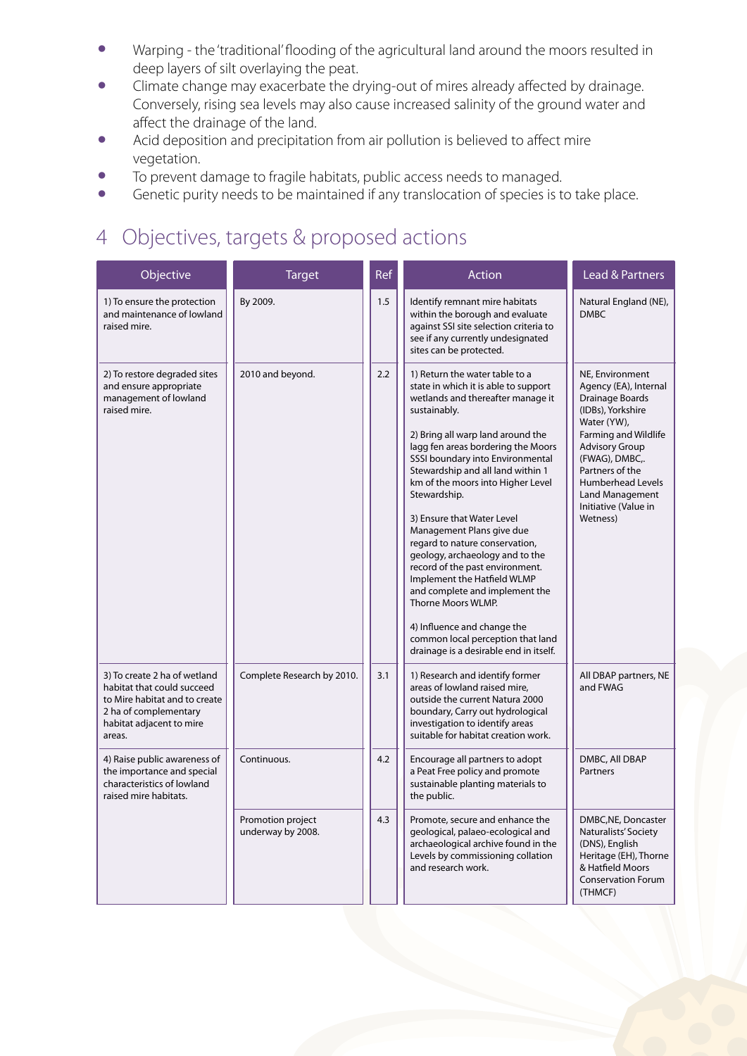- Warping the 'traditional' flooding of the agricultural land around the moors resulted in deep layers of silt overlaying the peat.
- Climate change may exacerbate the drying-out of mires already affected by drainage. Conversely, rising sea levels may also cause increased salinity of the ground water and affect the drainage of the land.
- Acid deposition and precipitation from air pollution is believed to affect mire vegetation.
- To prevent damage to fragile habitats, public access needs to managed.<br>• Genetic purity needs to be maintained if any translocation of species is to
- Genetic purity needs to be maintained if any translocation of species is to take place.

### 4 Objectives, targets & proposed actions

| Objective                                                                                                                                                  | <b>Target</b>                          | Ref | Action                                                                                                                                                                                                                                                                                                                                                                                                                                                                                                                                                                                                                                                                                                       | Lead & Partners                                                                                                                                                                                                                                                   |
|------------------------------------------------------------------------------------------------------------------------------------------------------------|----------------------------------------|-----|--------------------------------------------------------------------------------------------------------------------------------------------------------------------------------------------------------------------------------------------------------------------------------------------------------------------------------------------------------------------------------------------------------------------------------------------------------------------------------------------------------------------------------------------------------------------------------------------------------------------------------------------------------------------------------------------------------------|-------------------------------------------------------------------------------------------------------------------------------------------------------------------------------------------------------------------------------------------------------------------|
| 1) To ensure the protection<br>and maintenance of lowland<br>raised mire.                                                                                  | By 2009.                               | 1.5 | Identify remnant mire habitats<br>within the borough and evaluate<br>against SSI site selection criteria to<br>see if any currently undesignated<br>sites can be protected.                                                                                                                                                                                                                                                                                                                                                                                                                                                                                                                                  | Natural England (NE),<br><b>DMRC</b>                                                                                                                                                                                                                              |
| 2) To restore degraded sites<br>and ensure appropriate<br>management of lowland<br>raised mire.                                                            | 2010 and beyond.                       | 2.2 | 1) Return the water table to a<br>state in which it is able to support<br>wetlands and thereafter manage it<br>sustainably.<br>2) Bring all warp land around the<br>lagg fen areas bordering the Moors<br>SSSI boundary into Environmental<br>Stewardship and all land within 1<br>km of the moors into Higher Level<br>Stewardship.<br>3) Ensure that Water Level<br>Management Plans give due<br>regard to nature conservation,<br>geology, archaeology and to the<br>record of the past environment.<br>Implement the Hatfield WLMP<br>and complete and implement the<br>Thorne Moors WLMP.<br>4) Influence and change the<br>common local perception that land<br>drainage is a desirable end in itself. | NE, Environment<br>Agency (EA), Internal<br>Drainage Boards<br>(IDBs), Yorkshire<br>Water (YW),<br>Farming and Wildlife<br><b>Advisory Group</b><br>(FWAG), DMBC,.<br>Partners of the<br>Humberhead Levels<br>Land Management<br>Initiative (Value in<br>Wetness) |
| 3) To create 2 ha of wetland<br>habitat that could succeed<br>to Mire habitat and to create<br>2 ha of complementary<br>habitat adjacent to mire<br>areas. | Complete Research by 2010.             | 3.1 | 1) Research and identify former<br>areas of lowland raised mire.<br>outside the current Natura 2000<br>boundary, Carry out hydrological<br>investigation to identify areas<br>suitable for habitat creation work.                                                                                                                                                                                                                                                                                                                                                                                                                                                                                            | All DBAP partners, NE<br>and FWAG                                                                                                                                                                                                                                 |
| 4) Raise public awareness of<br>the importance and special<br>characteristics of lowland<br>raised mire habitats.                                          | Continuous.                            | 4.2 | Encourage all partners to adopt<br>a Peat Free policy and promote<br>sustainable planting materials to<br>the public.                                                                                                                                                                                                                                                                                                                                                                                                                                                                                                                                                                                        | DMBC, All DBAP<br>Partners                                                                                                                                                                                                                                        |
|                                                                                                                                                            | Promotion project<br>underway by 2008. | 4.3 | Promote, secure and enhance the<br>geological, palaeo-ecological and<br>archaeological archive found in the<br>Levels by commissioning collation<br>and research work.                                                                                                                                                                                                                                                                                                                                                                                                                                                                                                                                       | DMBC, NE, Doncaster<br>Naturalists' Society<br>(DNS), English<br>Heritage (EH), Thorne<br>& Hatfield Moors<br><b>Conservation Forum</b><br>(THMCF)                                                                                                                |